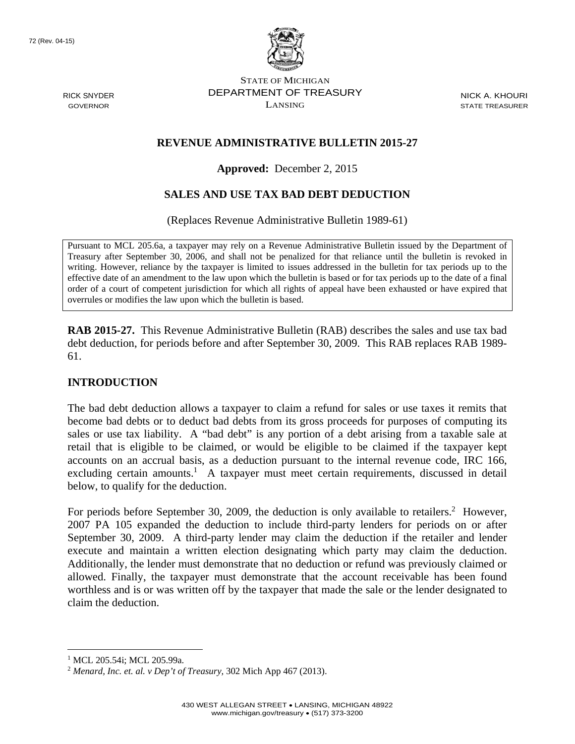72 (Rev. 04-15)

RICK SNYDER GOVERNOR



STATE OF MICHIGAN DEPARTMENT OF TREASURY LANSING

NICK A. KHOURI STATE TREASURER

## **REVENUE ADMINISTRATIVE BULLETIN 2015-27**

**Approved:** December 2, 2015

# **SALES AND USE TAX BAD DEBT DEDUCTION**

(Replaces Revenue Administrative Bulletin 1989-61)

Pursuant to MCL 205.6a, a taxpayer may rely on a Revenue Administrative Bulletin issued by the Department of Treasury after September 30, 2006, and shall not be penalized for that reliance until the bulletin is revoked in writing. However, reliance by the taxpayer is limited to issues addressed in the bulletin for tax periods up to the effective date of an amendment to the law upon which the bulletin is based or for tax periods up to the date of a final order of a court of competent jurisdiction for which all rights of appeal have been exhausted or have expired that overrules or modifies the law upon which the bulletin is based.

**RAB 2015-27.** This Revenue Administrative Bulletin (RAB) describes the sales and use tax bad debt deduction, for periods before and after September 30, 2009. This RAB replaces RAB 1989- 61.

## **INTRODUCTION**

The bad debt deduction allows a taxpayer to claim a refund for sales or use taxes it remits that become bad debts or to deduct bad debts from its gross proceeds for purposes of computing its sales or use tax liability. A "bad debt" is any portion of a debt arising from a taxable sale at retail that is eligible to be claimed, or would be eligible to be claimed if the taxpayer kept accounts on an accrual basis, as a deduction pursuant to the internal revenue code, IRC 166, excluding certain amounts.<sup>1</sup> A taxpayer must meet certain requirements, discussed in detail below, to qualify for the deduction.

For periods before September 30, 2009, the deduction is only available to retailers.<sup>2</sup> However, 2007 PA 105 expanded the deduction to include third-party lenders for periods on or after September 30, 2009. A third-party lender may claim the deduction if the retailer and lender execute and maintain a written election designating which party may claim the deduction. Additionally, the lender must demonstrate that no deduction or refund was previously claimed or allowed. Finally, the taxpayer must demonstrate that the account receivable has been found worthless and is or was written off by the taxpayer that made the sale or the lender designated to claim the deduction.

1

<sup>1</sup> MCL 205.54i; MCL 205.99a.

<sup>2</sup> *Menard, Inc. et. al. v Dep't of Treasury,* 302 Mich App 467 (2013).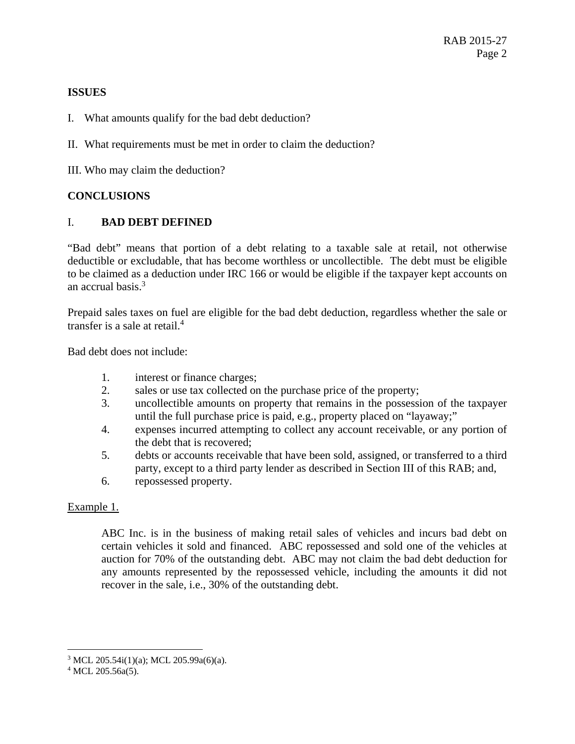### **ISSUES**

- I. What amounts qualify for the bad debt deduction?
- II. What requirements must be met in order to claim the deduction?
- III. Who may claim the deduction?

## **CONCLUSIONS**

### I. **BAD DEBT DEFINED**

"Bad debt" means that portion of a debt relating to a taxable sale at retail, not otherwise deductible or excludable, that has become worthless or uncollectible. The debt must be eligible to be claimed as a deduction under IRC 166 or would be eligible if the taxpayer kept accounts on an accrual basis.<sup>3</sup>

Prepaid sales taxes on fuel are eligible for the bad debt deduction, regardless whether the sale or transfer is a sale at retail.<sup>4</sup>

Bad debt does not include:

- 1. interest or finance charges;
- 2. sales or use tax collected on the purchase price of the property;
- 3. uncollectible amounts on property that remains in the possession of the taxpayer until the full purchase price is paid, e.g., property placed on "layaway;"
- 4. expenses incurred attempting to collect any account receivable, or any portion of the debt that is recovered;
- 5. debts or accounts receivable that have been sold, assigned, or transferred to a third party, except to a third party lender as described in Section III of this RAB; and,
- 6. repossessed property.

#### Example 1.

ABC Inc. is in the business of making retail sales of vehicles and incurs bad debt on certain vehicles it sold and financed. ABC repossessed and sold one of the vehicles at auction for 70% of the outstanding debt. ABC may not claim the bad debt deduction for any amounts represented by the repossessed vehicle, including the amounts it did not recover in the sale, i.e., 30% of the outstanding debt.

 $\overline{a}$ 

<sup>3</sup> MCL 205.54i(1)(a); MCL 205.99a(6)(a).

 $4$  MCL 205.56a(5).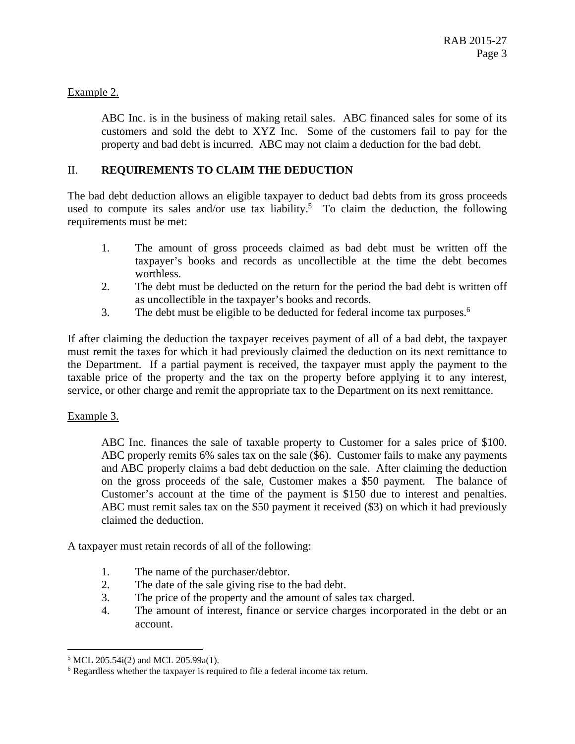## Example 2.

ABC Inc. is in the business of making retail sales. ABC financed sales for some of its customers and sold the debt to XYZ Inc. Some of the customers fail to pay for the property and bad debt is incurred. ABC may not claim a deduction for the bad debt.

## II. **REQUIREMENTS TO CLAIM THE DEDUCTION**

The bad debt deduction allows an eligible taxpayer to deduct bad debts from its gross proceeds used to compute its sales and/or use tax liability.<sup>5</sup> To claim the deduction, the following requirements must be met:

- 1. The amount of gross proceeds claimed as bad debt must be written off the taxpayer's books and records as uncollectible at the time the debt becomes worthless.
- 2. The debt must be deducted on the return for the period the bad debt is written off as uncollectible in the taxpayer's books and records.
- 3. The debt must be eligible to be deducted for federal income tax purposes.<sup>6</sup>

If after claiming the deduction the taxpayer receives payment of all of a bad debt, the taxpayer must remit the taxes for which it had previously claimed the deduction on its next remittance to the Department. If a partial payment is received, the taxpayer must apply the payment to the taxable price of the property and the tax on the property before applying it to any interest, service, or other charge and remit the appropriate tax to the Department on its next remittance.

## Example 3.

 $\overline{a}$ 

ABC Inc. finances the sale of taxable property to Customer for a sales price of \$100. ABC properly remits 6% sales tax on the sale (\$6). Customer fails to make any payments and ABC properly claims a bad debt deduction on the sale. After claiming the deduction on the gross proceeds of the sale, Customer makes a \$50 payment. The balance of Customer's account at the time of the payment is \$150 due to interest and penalties. ABC must remit sales tax on the \$50 payment it received (\$3) on which it had previously claimed the deduction.

A taxpayer must retain records of all of the following:

- 1. The name of the purchaser/debtor.
- 2. The date of the sale giving rise to the bad debt.
- 3. The price of the property and the amount of sales tax charged.
- 4. The amount of interest, finance or service charges incorporated in the debt or an account.

<sup>5</sup> MCL 205.54i(2) and MCL 205.99a(1).

<sup>&</sup>lt;sup>6</sup> Regardless whether the taxpayer is required to file a federal income tax return.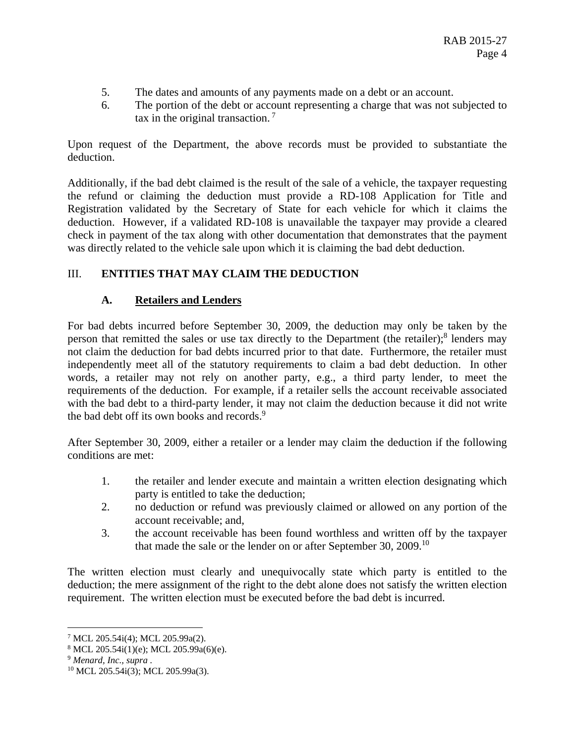- 5. The dates and amounts of any payments made on a debt or an account.
- 6. The portion of the debt or account representing a charge that was not subjected to tax in the original transaction.<sup>7</sup>

Upon request of the Department, the above records must be provided to substantiate the deduction.

Additionally, if the bad debt claimed is the result of the sale of a vehicle, the taxpayer requesting the refund or claiming the deduction must provide a RD-108 Application for Title and Registration validated by the Secretary of State for each vehicle for which it claims the deduction. However, if a validated RD-108 is unavailable the taxpayer may provide a cleared check in payment of the tax along with other documentation that demonstrates that the payment was directly related to the vehicle sale upon which it is claiming the bad debt deduction.

# III. **ENTITIES THAT MAY CLAIM THE DEDUCTION**

## **A. Retailers and Lenders**

For bad debts incurred before September 30, 2009, the deduction may only be taken by the person that remitted the sales or use tax directly to the Department (the retailer);<sup>8</sup> lenders may not claim the deduction for bad debts incurred prior to that date. Furthermore, the retailer must independently meet all of the statutory requirements to claim a bad debt deduction. In other words, a retailer may not rely on another party, e.g., a third party lender, to meet the requirements of the deduction. For example, if a retailer sells the account receivable associated with the bad debt to a third-party lender, it may not claim the deduction because it did not write the bad debt off its own books and records.<sup>9</sup>

After September 30, 2009, either a retailer or a lender may claim the deduction if the following conditions are met:

- 1. the retailer and lender execute and maintain a written election designating which party is entitled to take the deduction;
- 2. no deduction or refund was previously claimed or allowed on any portion of the account receivable; and,
- 3. the account receivable has been found worthless and written off by the taxpayer that made the sale or the lender on or after September 30, 2009.<sup>10</sup>

The written election must clearly and unequivocally state which party is entitled to the deduction; the mere assignment of the right to the debt alone does not satisfy the written election requirement. The written election must be executed before the bad debt is incurred.

 $\overline{a}$ 

<sup>7</sup> MCL 205.54i(4); MCL 205.99a(2).

<sup>8</sup> MCL 205.54i(1)(e); MCL 205.99a(6)(e).

<sup>&</sup>lt;sup>9</sup> *Menard, Inc., supra .*  $^{10}$  MCL 205.54i(3); MCL 205.99a(3).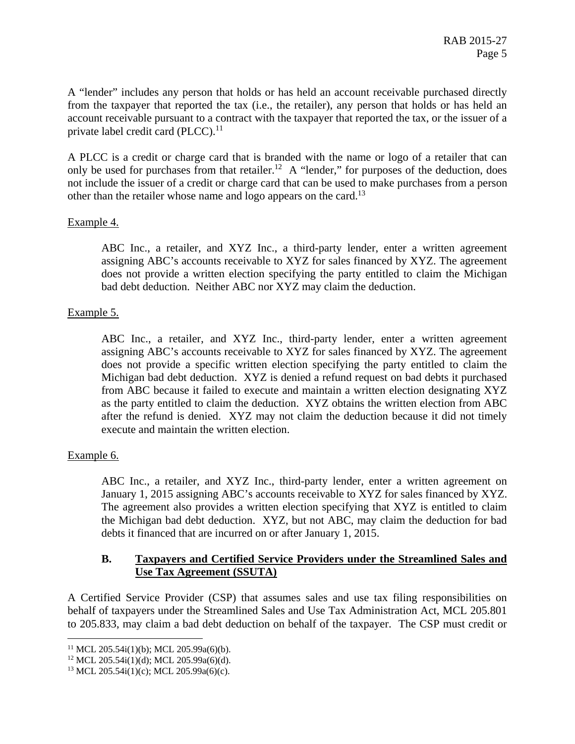A "lender" includes any person that holds or has held an account receivable purchased directly from the taxpayer that reported the tax (i.e., the retailer), any person that holds or has held an account receivable pursuant to a contract with the taxpayer that reported the tax, or the issuer of a private label credit card  $(PLCC)$ .<sup>11</sup>

A PLCC is a credit or charge card that is branded with the name or logo of a retailer that can only be used for purchases from that retailer.<sup>12</sup> A "lender," for purposes of the deduction, does not include the issuer of a credit or charge card that can be used to make purchases from a person other than the retailer whose name and logo appears on the card.<sup>13</sup>

### Example 4.

ABC Inc., a retailer, and XYZ Inc., a third-party lender, enter a written agreement assigning ABC's accounts receivable to XYZ for sales financed by XYZ. The agreement does not provide a written election specifying the party entitled to claim the Michigan bad debt deduction. Neither ABC nor XYZ may claim the deduction.

### Example 5.

ABC Inc., a retailer, and XYZ Inc., third-party lender, enter a written agreement assigning ABC's accounts receivable to XYZ for sales financed by XYZ. The agreement does not provide a specific written election specifying the party entitled to claim the Michigan bad debt deduction. XYZ is denied a refund request on bad debts it purchased from ABC because it failed to execute and maintain a written election designating XYZ as the party entitled to claim the deduction. XYZ obtains the written election from ABC after the refund is denied. XYZ may not claim the deduction because it did not timely execute and maintain the written election.

## Example 6.

 $\overline{a}$ 

ABC Inc., a retailer, and XYZ Inc., third-party lender, enter a written agreement on January 1, 2015 assigning ABC's accounts receivable to XYZ for sales financed by XYZ. The agreement also provides a written election specifying that XYZ is entitled to claim the Michigan bad debt deduction. XYZ, but not ABC, may claim the deduction for bad debts it financed that are incurred on or after January 1, 2015.

### **B. Taxpayers and Certified Service Providers under the Streamlined Sales and Use Tax Agreement (SSUTA)**

A Certified Service Provider (CSP) that assumes sales and use tax filing responsibilities on behalf of taxpayers under the Streamlined Sales and Use Tax Administration Act, MCL 205.801 to 205.833, may claim a bad debt deduction on behalf of the taxpayer. The CSP must credit or

<sup>&</sup>lt;sup>11</sup> MCL 205.54i(1)(b); MCL 205.99a(6)(b).

 $12$  MCL 205.54i(1)(d); MCL 205.99a(6)(d).

<sup>&</sup>lt;sup>13</sup> MCL 205.54i(1)(c); MCL 205.99a(6)(c).